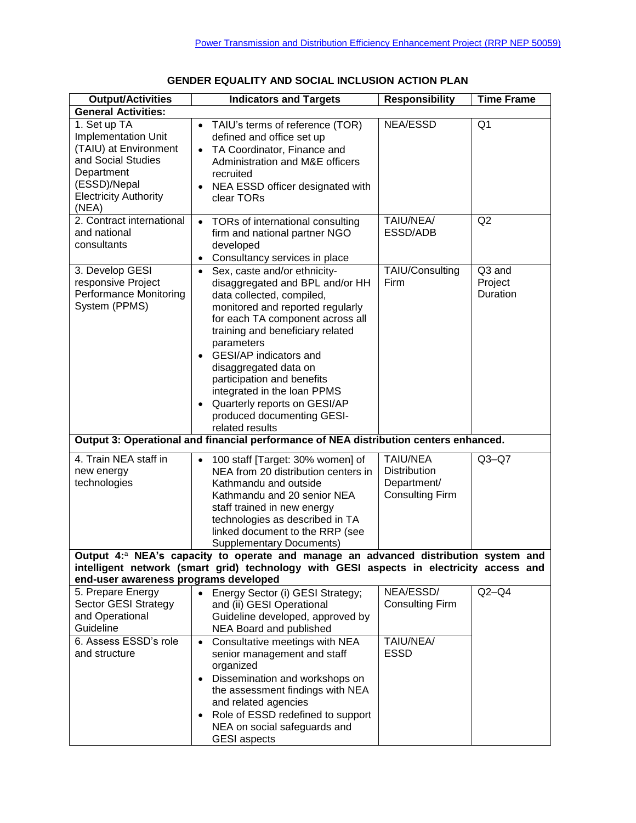| <b>Output/Activities</b>                                                                                                                                  | <b>Indicators and Targets</b>                                                                                                                                                                                                                                                                                                                                                                                                                                         | <b>Responsibility</b>                                                           | <b>Time Frame</b>             |
|-----------------------------------------------------------------------------------------------------------------------------------------------------------|-----------------------------------------------------------------------------------------------------------------------------------------------------------------------------------------------------------------------------------------------------------------------------------------------------------------------------------------------------------------------------------------------------------------------------------------------------------------------|---------------------------------------------------------------------------------|-------------------------------|
| <b>General Activities:</b>                                                                                                                                |                                                                                                                                                                                                                                                                                                                                                                                                                                                                       |                                                                                 |                               |
| 1. Set up TA<br>Implementation Unit<br>(TAIU) at Environment<br>and Social Studies<br>Department<br>(ESSD)/Nepal<br><b>Electricity Authority</b><br>(NEA) | TAIU's terms of reference (TOR)<br>$\bullet$<br>defined and office set up<br>TA Coordinator, Finance and<br>$\bullet$<br>Administration and M&E officers<br>recruited<br>NEA ESSD officer designated with<br>$\bullet$<br>clear TORs                                                                                                                                                                                                                                  | <b>NEA/ESSD</b>                                                                 | Q <sub>1</sub>                |
| 2. Contract international<br>and national<br>consultants                                                                                                  | TORs of international consulting<br>$\bullet$<br>firm and national partner NGO<br>developed<br>Consultancy services in place<br>$\bullet$                                                                                                                                                                                                                                                                                                                             | TAIU/NEA/<br>ESSD/ADB                                                           | Q2                            |
| 3. Develop GESI<br>responsive Project<br>Performance Monitoring<br>System (PPMS)                                                                          | Sex, caste and/or ethnicity-<br>$\bullet$<br>disaggregated and BPL and/or HH<br>data collected, compiled,<br>monitored and reported regularly<br>for each TA component across all<br>training and beneficiary related<br>parameters<br><b>GESI/AP</b> indicators and<br>$\bullet$<br>disaggregated data on<br>participation and benefits<br>integrated in the loan PPMS<br>Quarterly reports on GESI/AP<br>$\bullet$<br>produced documenting GESI-<br>related results | TAIU/Consulting<br>Firm                                                         | Q3 and<br>Project<br>Duration |
|                                                                                                                                                           | Output 3: Operational and financial performance of NEA distribution centers enhanced.                                                                                                                                                                                                                                                                                                                                                                                 |                                                                                 |                               |
| 4. Train NEA staff in<br>new energy<br>technologies                                                                                                       | 100 staff [Target: 30% women] of<br>$\bullet$<br>NEA from 20 distribution centers in<br>Kathmandu and outside<br>Kathmandu and 20 senior NEA<br>staff trained in new energy<br>technologies as described in TA<br>linked document to the RRP (see<br><b>Supplementary Documents)</b>                                                                                                                                                                                  | <b>TAIU/NEA</b><br><b>Distribution</b><br>Department/<br><b>Consulting Firm</b> | $Q3-Q7$                       |
|                                                                                                                                                           | Output 4: <sup>a</sup> NEA's capacity to operate and manage an advanced distribution system and                                                                                                                                                                                                                                                                                                                                                                       |                                                                                 |                               |
|                                                                                                                                                           | intelligent network (smart grid) technology with GESI aspects in electricity access and                                                                                                                                                                                                                                                                                                                                                                               |                                                                                 |                               |
| end-user awareness programs developed                                                                                                                     |                                                                                                                                                                                                                                                                                                                                                                                                                                                                       |                                                                                 |                               |
| 5. Prepare Energy<br>Sector GESI Strategy<br>and Operational<br>Guideline                                                                                 | Energy Sector (i) GESI Strategy;<br>$\bullet$<br>and (ii) GESI Operational<br>Guideline developed, approved by<br>NEA Board and published                                                                                                                                                                                                                                                                                                                             | NEA/ESSD/<br><b>Consulting Firm</b>                                             | $Q2-Q4$                       |
| 6. Assess ESSD's role<br>and structure                                                                                                                    | Consultative meetings with NEA<br>$\bullet$<br>senior management and staff<br>organized<br>Dissemination and workshops on<br>$\bullet$<br>the assessment findings with NEA<br>and related agencies<br>Role of ESSD redefined to support<br>$\bullet$<br>NEA on social safeguards and<br><b>GESI</b> aspects                                                                                                                                                           | TAIU/NEA/<br><b>ESSD</b>                                                        |                               |

## **GENDER EQUALITY AND SOCIAL INCLUSION ACTION PLAN**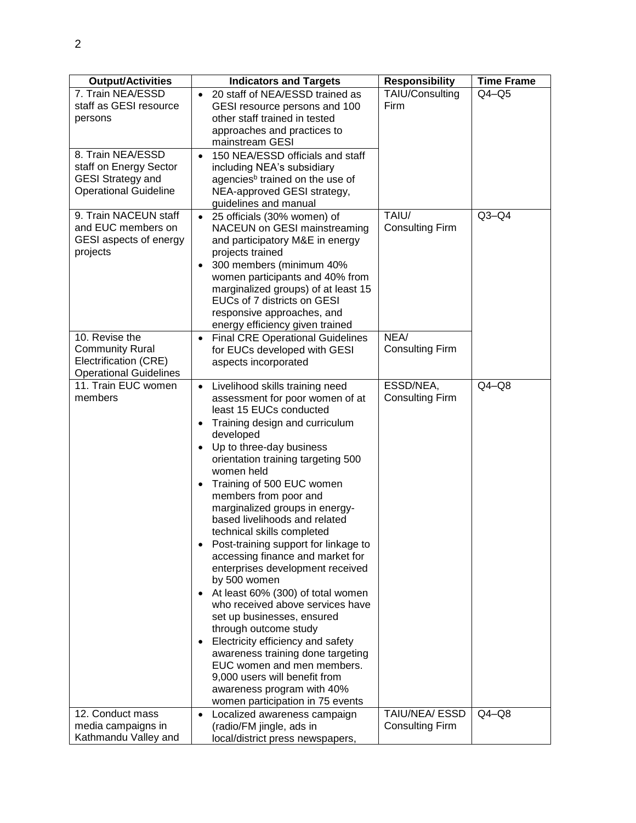| <b>Output/Activities</b>                                                                                | <b>Indicators and Targets</b>                                                                                                                                                                                                                                                                                                                                                                                                                                                                                                                                                                                                                                                                                                                                                                                                                                                                                                                | <b>Responsibility</b>               | <b>Time Frame</b> |
|---------------------------------------------------------------------------------------------------------|----------------------------------------------------------------------------------------------------------------------------------------------------------------------------------------------------------------------------------------------------------------------------------------------------------------------------------------------------------------------------------------------------------------------------------------------------------------------------------------------------------------------------------------------------------------------------------------------------------------------------------------------------------------------------------------------------------------------------------------------------------------------------------------------------------------------------------------------------------------------------------------------------------------------------------------------|-------------------------------------|-------------------|
| 7. Train NEA/ESSD<br>staff as GESI resource<br>persons                                                  | 20 staff of NEA/ESSD trained as<br>$\bullet$<br>GESI resource persons and 100<br>other staff trained in tested<br>approaches and practices to<br>mainstream GESI                                                                                                                                                                                                                                                                                                                                                                                                                                                                                                                                                                                                                                                                                                                                                                             | TAIU/Consulting<br>Firm             | $Q4 - Q5$         |
| 8. Train NEA/ESSD<br>staff on Energy Sector<br><b>GESI Strategy and</b><br><b>Operational Guideline</b> | 150 NEA/ESSD officials and staff<br>$\bullet$<br>including NEA's subsidiary<br>agencies <sup>b</sup> trained on the use of<br>NEA-approved GESI strategy,<br>guidelines and manual                                                                                                                                                                                                                                                                                                                                                                                                                                                                                                                                                                                                                                                                                                                                                           |                                     |                   |
| 9. Train NACEUN staff<br>and EUC members on<br>GESI aspects of energy<br>projects                       | 25 officials (30% women) of<br>$\bullet$<br>NACEUN on GESI mainstreaming<br>and participatory M&E in energy<br>projects trained<br>300 members (minimum 40%<br>$\bullet$<br>women participants and 40% from<br>marginalized groups) of at least 15<br>EUCs of 7 districts on GESI<br>responsive approaches, and<br>energy efficiency given trained                                                                                                                                                                                                                                                                                                                                                                                                                                                                                                                                                                                           | TAIU/<br><b>Consulting Firm</b>     | $Q3-Q4$           |
| 10. Revise the<br><b>Community Rural</b><br>Electrification (CRE)<br><b>Operational Guidelines</b>      | <b>Final CRE Operational Guidelines</b><br>$\bullet$<br>for EUCs developed with GESI<br>aspects incorporated                                                                                                                                                                                                                                                                                                                                                                                                                                                                                                                                                                                                                                                                                                                                                                                                                                 | NEA/<br><b>Consulting Firm</b>      |                   |
| 11. Train EUC women<br>members                                                                          | Livelihood skills training need<br>$\bullet$<br>assessment for poor women of at<br>least 15 EUCs conducted<br>Training design and curriculum<br>$\bullet$<br>developed<br>Up to three-day business<br>$\bullet$<br>orientation training targeting 500<br>women held<br>Training of 500 EUC women<br>$\bullet$<br>members from poor and<br>marginalized groups in energy-<br>based livelihoods and related<br>technical skills completed<br>Post-training support for linkage to<br>accessing finance and market for<br>enterprises development received<br>by 500 women<br>At least 60% (300) of total women<br>$\bullet$<br>who received above services have<br>set up businesses, ensured<br>through outcome study<br>Electricity efficiency and safety<br>$\bullet$<br>awareness training done targeting<br>EUC women and men members.<br>9,000 users will benefit from<br>awareness program with 40%<br>women participation in 75 events | ESSD/NEA,<br><b>Consulting Firm</b> | $Q4-Q8$           |
| 12. Conduct mass                                                                                        | Localized awareness campaign<br>$\bullet$                                                                                                                                                                                                                                                                                                                                                                                                                                                                                                                                                                                                                                                                                                                                                                                                                                                                                                    | TAIU/NEA/ ESSD                      | $Q4-Q8$           |
| media campaigns in<br>Kathmandu Valley and                                                              | (radio/FM jingle, ads in<br>local/district press newspapers,                                                                                                                                                                                                                                                                                                                                                                                                                                                                                                                                                                                                                                                                                                                                                                                                                                                                                 | <b>Consulting Firm</b>              |                   |